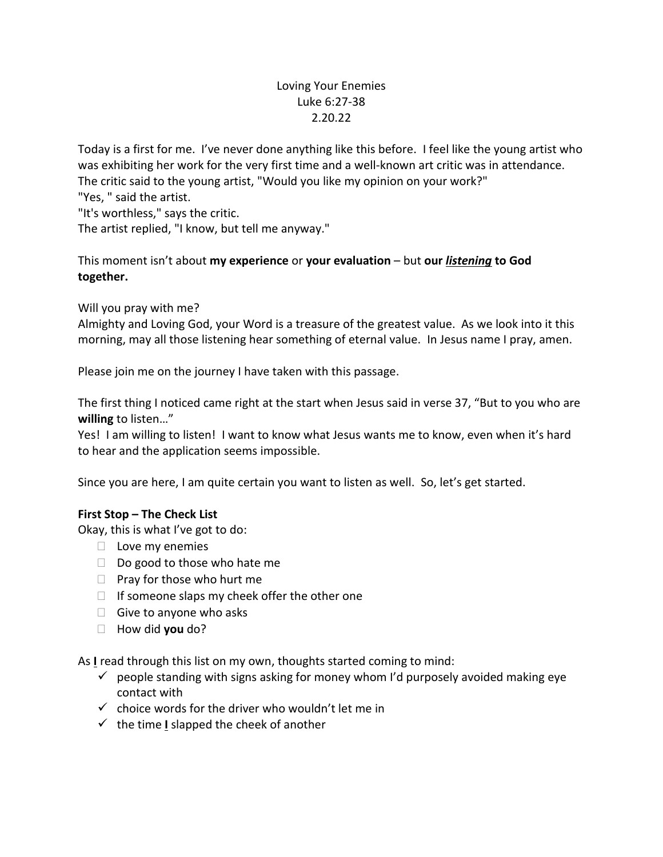# Loving Your Enemies Luke 6:27-38 2.20.22

Today is a first for me. I've never done anything like this before. I feel like the young artist who was exhibiting her work for the very first time and a well-known art critic was in attendance. The critic said to the young artist, "Would you like my opinion on your work?" "Yes, " said the artist.

"It's worthless," says the critic.

The artist replied, "I know, but tell me anyway."

This moment isn't about **my experience** or **your evaluation** – but **our** *listening* **to God together.** 

Will you pray with me?

Almighty and Loving God, your Word is a treasure of the greatest value. As we look into it this morning, may all those listening hear something of eternal value. In Jesus name I pray, amen.

Please join me on the journey I have taken with this passage.

The first thing I noticed came right at the start when Jesus said in verse 37, "But to you who are **willing** to listen…"

Yes! I am willing to listen! I want to know what Jesus wants me to know, even when it's hard to hear and the application seems impossible.

Since you are here, I am quite certain you want to listen as well. So, let's get started.

# **First Stop – The Check List**

Okay, this is what I've got to do:

- $\Box$  Love my enemies
- $\Box$  Do good to those who hate me
- $\Box$  Pray for those who hurt me
- $\Box$  If someone slaps my cheek offer the other one
- $\Box$  Give to anyone who asks
- How did **you** do?

As **I** read through this list on my own, thoughts started coming to mind:

- $\checkmark$  people standing with signs asking for money whom I'd purposely avoided making eye contact with
- $\checkmark$  choice words for the driver who wouldn't let me in
- $\checkmark$  the time **I** slapped the cheek of another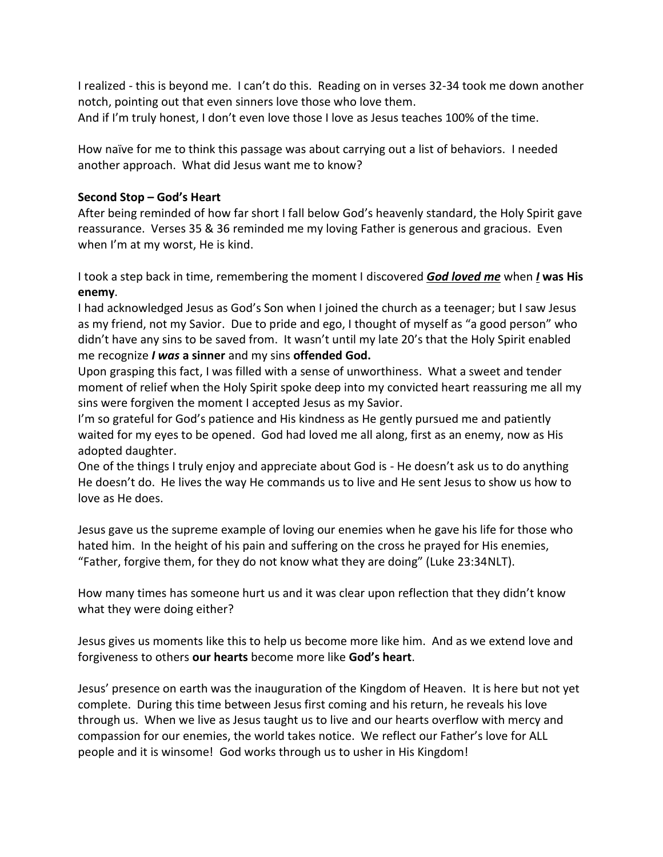I realized - this is beyond me. I can't do this. Reading on in verses 32-34 took me down another notch, pointing out that even sinners love those who love them. And if I'm truly honest, I don't even love those I love as Jesus teaches 100% of the time.

How naïve for me to think this passage was about carrying out a list of behaviors. I needed another approach. What did Jesus want me to know?

### **Second Stop – God's Heart**

After being reminded of how far short I fall below God's heavenly standard, the Holy Spirit gave reassurance. Verses 35 & 36 reminded me my loving Father is generous and gracious. Even when I'm at my worst, He is kind.

I took a step back in time, remembering the moment I discovered *God loved me* when *I* **was His enemy**.

I had acknowledged Jesus as God's Son when I joined the church as a teenager; but I saw Jesus as my friend, not my Savior. Due to pride and ego, I thought of myself as "a good person" who didn't have any sins to be saved from. It wasn't until my late 20's that the Holy Spirit enabled me recognize *I was* **a sinner** and my sins **offended God.** 

Upon grasping this fact, I was filled with a sense of unworthiness. What a sweet and tender moment of relief when the Holy Spirit spoke deep into my convicted heart reassuring me all my sins were forgiven the moment I accepted Jesus as my Savior.

I'm so grateful for God's patience and His kindness as He gently pursued me and patiently waited for my eyes to be opened. God had loved me all along, first as an enemy, now as His adopted daughter.

One of the things I truly enjoy and appreciate about God is - He doesn't ask us to do anything He doesn't do. He lives the way He commands us to live and He sent Jesus to show us how to love as He does.

Jesus gave us the supreme example of loving our enemies when he gave his life for those who hated him. In the height of his pain and suffering on the cross he prayed for His enemies, "Father, forgive them, for they do not know what they are doing" (Luke 23:34NLT).

How many times has someone hurt us and it was clear upon reflection that they didn't know what they were doing either?

Jesus gives us moments like this to help us become more like him. And as we extend love and forgiveness to others **our hearts** become more like **God's heart**.

Jesus' presence on earth was the inauguration of the Kingdom of Heaven. It is here but not yet complete. During this time between Jesus first coming and his return, he reveals his love through us. When we live as Jesus taught us to live and our hearts overflow with mercy and compassion for our enemies, the world takes notice. We reflect our Father's love for ALL people and it is winsome! God works through us to usher in His Kingdom!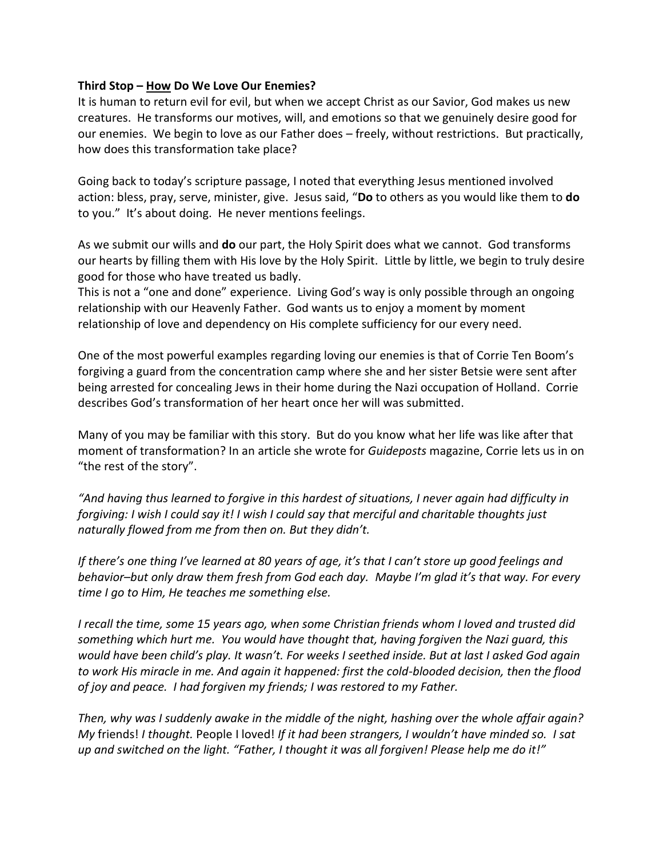#### **Third Stop – How Do We Love Our Enemies?**

It is human to return evil for evil, but when we accept Christ as our Savior, God makes us new creatures. He transforms our motives, will, and emotions so that we genuinely desire good for our enemies. We begin to love as our Father does – freely, without restrictions. But practically, how does this transformation take place?

Going back to today's scripture passage, I noted that everything Jesus mentioned involved action: bless, pray, serve, minister, give. Jesus said, "**Do** to others as you would like them to **do** to you." It's about doing. He never mentions feelings.

As we submit our wills and **do** our part, the Holy Spirit does what we cannot. God transforms our hearts by filling them with His love by the Holy Spirit. Little by little, we begin to truly desire good for those who have treated us badly.

This is not a "one and done" experience. Living God's way is only possible through an ongoing relationship with our Heavenly Father. God wants us to enjoy a moment by moment relationship of love and dependency on His complete sufficiency for our every need.

One of the most powerful examples regarding loving our enemies is that of Corrie Ten Boom's forgiving a guard from the concentration camp where she and her sister Betsie were sent after being arrested for concealing Jews in their home during the Nazi occupation of Holland. Corrie describes God's transformation of her heart once her will was submitted.

Many of you may be familiar with this story. But do you know what her life was like after that moment of transformation? In an article she wrote for *Guideposts* magazine, Corrie lets us in on "the rest of the story".

*"And having thus learned to forgive in this hardest of situations, I never again had difficulty in forgiving: I wish I could say it! I wish I could say that merciful and charitable thoughts just naturally flowed from me from then on. But they didn't.*

*If there's one thing I've learned at 80 years of age, it's that I can't store up good feelings and behavior–but only draw them fresh from God each day. Maybe I'm glad it's that way. For every time I go to Him, He teaches me something else.* 

*I recall the time, some 15 years ago, when some Christian friends whom I loved and trusted did something which hurt me. You would have thought that, having forgiven the Nazi guard, this would have been child's play. It wasn't. For weeks I seethed inside. But at last I asked God again to work His miracle in me. And again it happened: first the cold-blooded decision, then the flood of joy and peace. I had forgiven my friends; I was restored to my Father.*

*Then, why was I suddenly awake in the middle of the night, hashing over the whole affair again? My* friends! *I thought.* People I loved! *If it had been strangers, I wouldn't have minded so. I sat up and switched on the light. "Father, I thought it was all forgiven! Please help me do it!"*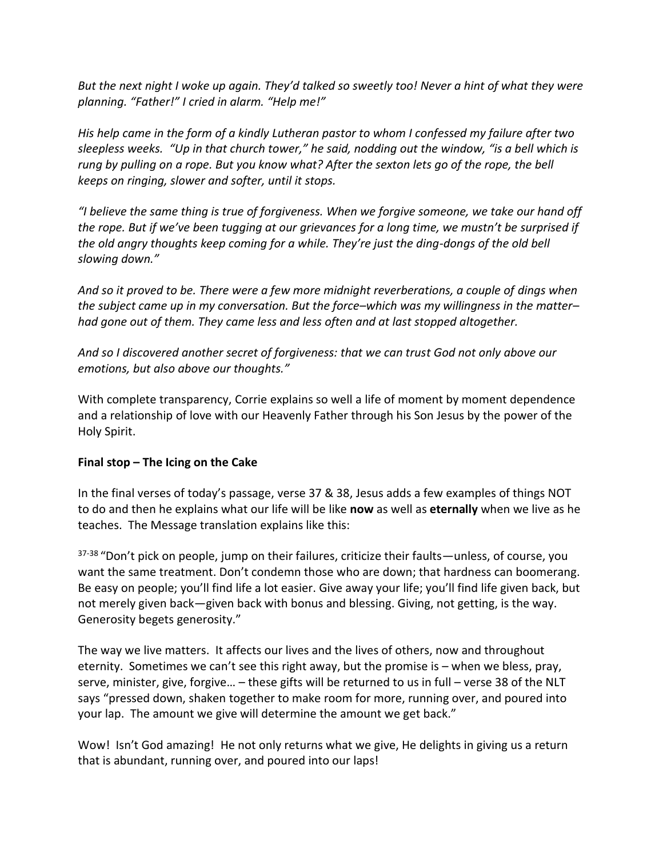*But the next night I woke up again. They'd talked so sweetly too! Never a hint of what they were planning. "Father!" I cried in alarm. "Help me!"*

*His help came in the form of a kindly Lutheran pastor to whom I confessed my failure after two sleepless weeks. "Up in that church tower," he said, nodding out the window, "is a bell which is rung by pulling on a rope. But you know what? After the sexton lets go of the rope, the bell keeps on ringing, slower and softer, until it stops.*

*"I believe the same thing is true of forgiveness. When we forgive someone, we take our hand off the rope. But if we've been tugging at our grievances for a long time, we mustn't be surprised if the old angry thoughts keep coming for a while. They're just the ding-dongs of the old bell slowing down."*

*And so it proved to be. There were a few more midnight reverberations, a couple of dings when the subject came up in my conversation. But the force–which was my willingness in the matter– had gone out of them. They came less and less often and at last stopped altogether.*

*And so I discovered another secret of forgiveness: that we can trust God not only above our emotions, but also above our thoughts."*

With complete transparency, Corrie explains so well a life of moment by moment dependence and a relationship of love with our Heavenly Father through his Son Jesus by the power of the Holy Spirit.

# **Final stop – The Icing on the Cake**

In the final verses of today's passage, verse 37 & 38, Jesus adds a few examples of things NOT to do and then he explains what our life will be like **now** as well as **eternally** when we live as he teaches. The Message translation explains like this:

<sup>37-38</sup> "Don't pick on people, jump on their failures, criticize their faults—unless, of course, you want the same treatment. Don't condemn those who are down; that hardness can boomerang. Be easy on people; you'll find life a lot easier. Give away your life; you'll find life given back, but not merely given back—given back with bonus and blessing. Giving, not getting, is the way. Generosity begets generosity."

The way we live matters. It affects our lives and the lives of others, now and throughout eternity. Sometimes we can't see this right away, but the promise is – when we bless, pray, serve, minister, give, forgive… – these gifts will be returned to us in full – verse 38 of the NLT says "pressed down, shaken together to make room for more, running over, and poured into your lap. The amount we give will determine the amount we get back."

Wow! Isn't God amazing! He not only returns what we give, He delights in giving us a return that is abundant, running over, and poured into our laps!